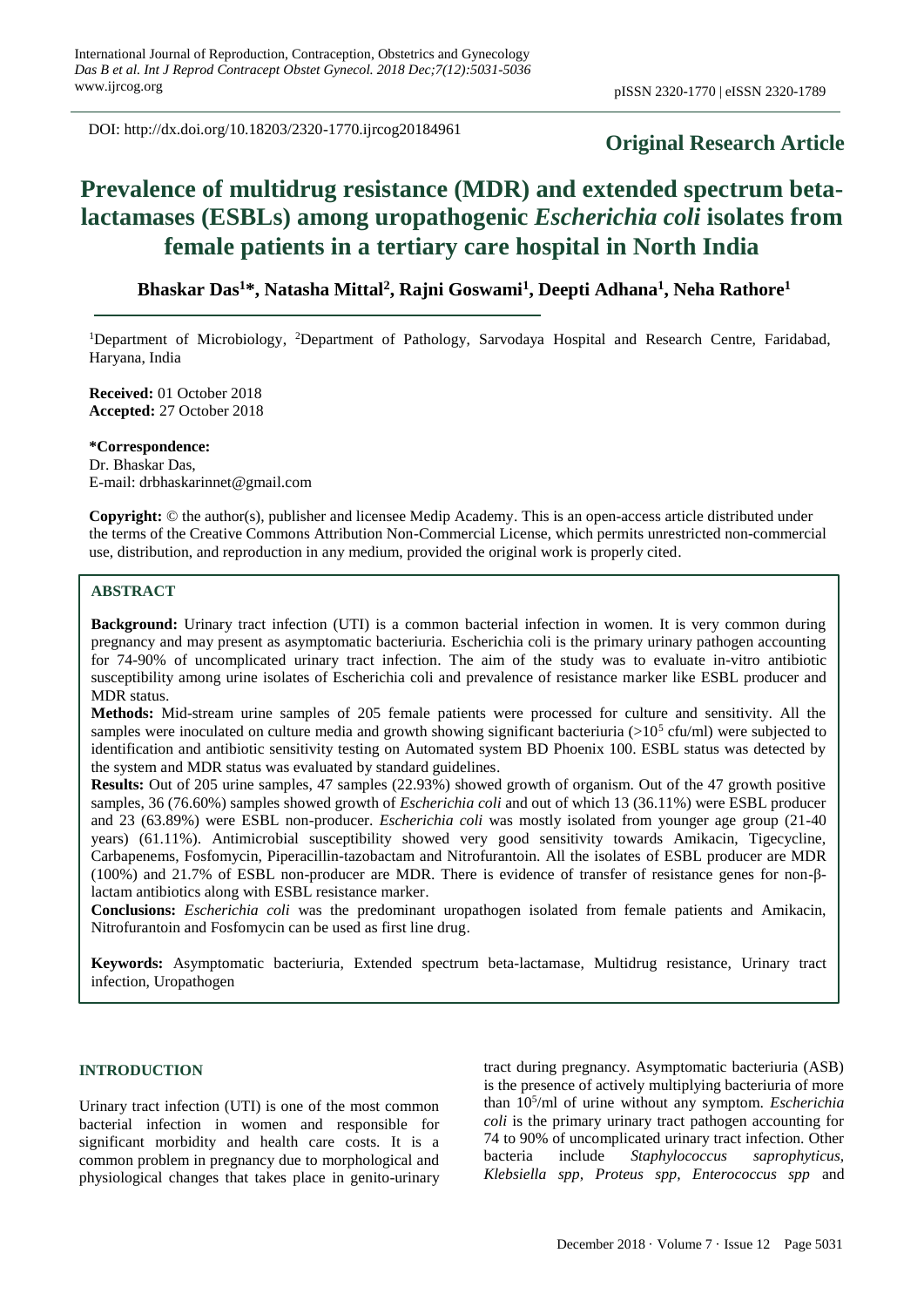DOI: http://dx.doi.org/10.18203/2320-1770.ijrcog20184961

# **Original Research Article**

# **Prevalence of multidrug resistance (MDR) and extended spectrum betalactamases (ESBLs) among uropathogenic** *Escherichia coli* **isolates from female patients in a tertiary care hospital in North India**

**Bhaskar Das<sup>1</sup>\*, Natasha Mittal<sup>2</sup> , Rajni Goswami<sup>1</sup> , Deepti Adhana<sup>1</sup> , Neha Rathore<sup>1</sup>**

<sup>1</sup>Department of Microbiology, <sup>2</sup>Department of Pathology, Sarvodaya Hospital and Research Centre, Faridabad, Haryana, India

**Received:** 01 October 2018 **Accepted:** 27 October 2018

**\*Correspondence:** Dr. Bhaskar Das, E-mail: drbhaskarinnet@gmail.com

**Copyright:** © the author(s), publisher and licensee Medip Academy. This is an open-access article distributed under the terms of the Creative Commons Attribution Non-Commercial License, which permits unrestricted non-commercial use, distribution, and reproduction in any medium, provided the original work is properly cited.

# **ABSTRACT**

**Background:** Urinary tract infection (UTI) is a common bacterial infection in women. It is very common during pregnancy and may present as asymptomatic bacteriuria. Escherichia coli is the primary urinary pathogen accounting for 74-90% of uncomplicated urinary tract infection. The aim of the study was to evaluate in-vitro antibiotic susceptibility among urine isolates of Escherichia coli and prevalence of resistance marker like ESBL producer and MDR status.

**Methods:** Mid-stream urine samples of 205 female patients were processed for culture and sensitivity. All the samples were inoculated on culture media and growth showing significant bacteriuria  $(>10<sup>5</sup>$  cfu/ml) were subjected to identification and antibiotic sensitivity testing on Automated system BD Phoenix 100. ESBL status was detected by the system and MDR status was evaluated by standard guidelines.

**Results:** Out of 205 urine samples, 47 samples (22.93%) showed growth of organism. Out of the 47 growth positive samples, 36 (76.60%) samples showed growth of *Escherichia coli* and out of which 13 (36.11%) were ESBL producer and 23 (63.89%) were ESBL non-producer. *Escherichia coli* was mostly isolated from younger age group (21-40 years) (61.11%). Antimicrobial susceptibility showed very good sensitivity towards Amikacin, Tigecycline, Carbapenems, Fosfomycin, Piperacillin-tazobactam and Nitrofurantoin. All the isolates of ESBL producer are MDR (100%) and 21.7% of ESBL non-producer are MDR. There is evidence of transfer of resistance genes for non-βlactam antibiotics along with ESBL resistance marker.

**Conclusions:** *Escherichia coli* was the predominant uropathogen isolated from female patients and Amikacin, Nitrofurantoin and Fosfomycin can be used as first line drug.

**Keywords:** Asymptomatic bacteriuria, Extended spectrum beta-lactamase, Multidrug resistance, Urinary tract infection, Uropathogen

# **INTRODUCTION**

Urinary tract infection (UTI) is one of the most common bacterial infection in women and responsible for significant morbidity and health care costs. It is a common problem in pregnancy due to morphological and physiological changes that takes place in genito-urinary tract during pregnancy. Asymptomatic bacteriuria (ASB) is the presence of actively multiplying bacteriuria of more than 10<sup>5</sup> /ml of urine without any symptom. *Escherichia coli* is the primary urinary tract pathogen accounting for 74 to 90% of uncomplicated urinary tract infection. Other bacteria include *Staphylococcus saprophyticus, Klebsiella spp, Proteus spp, Enterococcus spp* and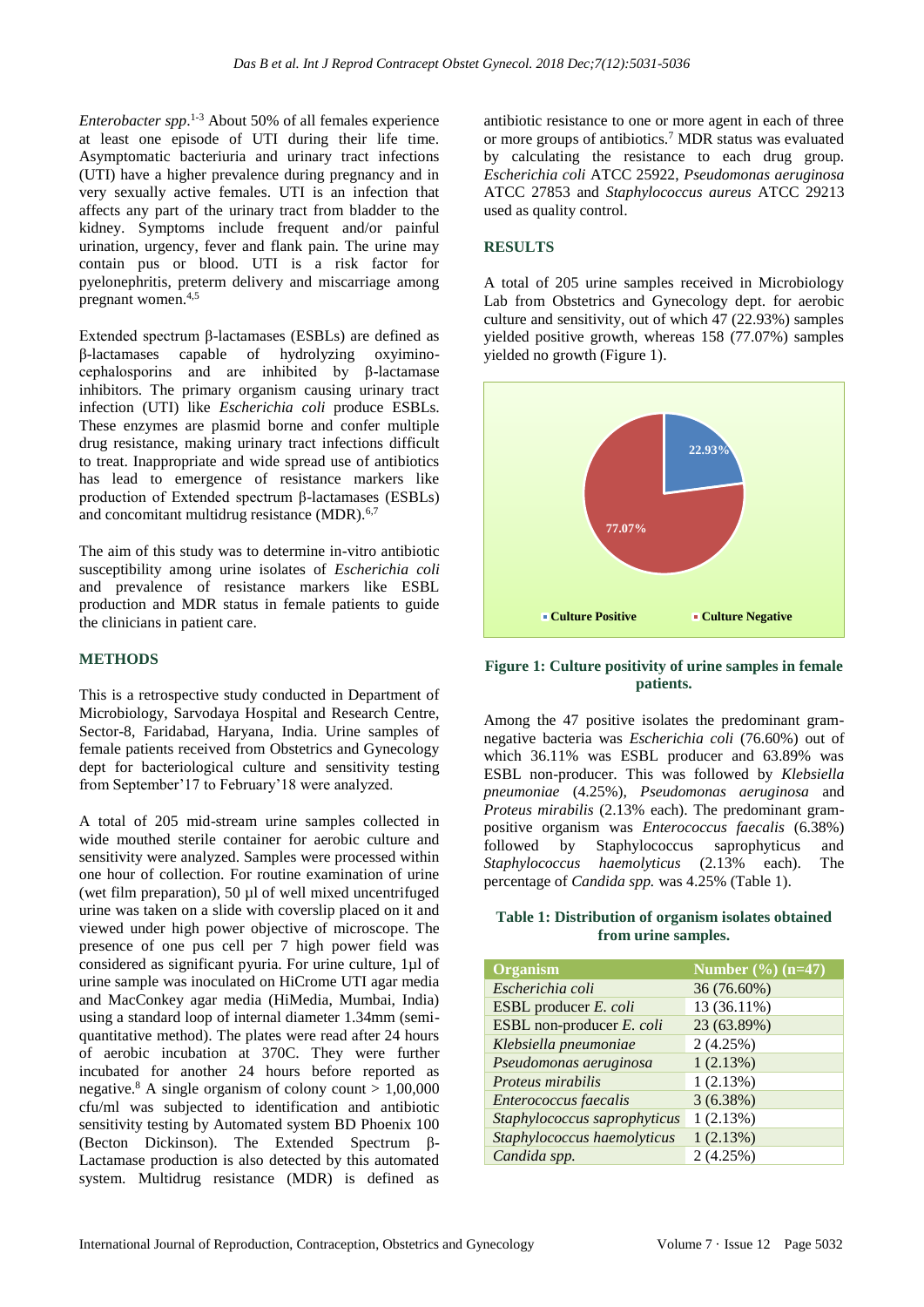*Enterobacter spp*. 1-3 About 50% of all females experience at least one episode of UTI during their life time. Asymptomatic bacteriuria and urinary tract infections (UTI) have a higher prevalence during pregnancy and in very sexually active females. UTI is an infection that affects any part of the urinary tract from bladder to the kidney. Symptoms include frequent and/or painful urination, urgency, fever and flank pain. The urine may contain pus or blood. UTI is a risk factor for pyelonephritis, preterm delivery and miscarriage among pregnant women.4,5

Extended spectrum β-lactamases (ESBLs) are defined as β-lactamases capable of hydrolyzing oxyiminocephalosporins and are inhibited by β-lactamase inhibitors. The primary organism causing urinary tract infection (UTI) like *Escherichia coli* produce ESBLs. These enzymes are plasmid borne and confer multiple drug resistance, making urinary tract infections difficult to treat. Inappropriate and wide spread use of antibiotics has lead to emergence of resistance markers like production of Extended spectrum β-lactamases (ESBLs) and concomitant multidrug resistance  $(MDR)^{6,7}$ 

The aim of this study was to determine in-vitro antibiotic susceptibility among urine isolates of *Escherichia coli* and prevalence of resistance markers like ESBL production and MDR status in female patients to guide the clinicians in patient care.

# **METHODS**

This is a retrospective study conducted in Department of Microbiology, Sarvodaya Hospital and Research Centre, Sector-8, Faridabad, Haryana, India. Urine samples of female patients received from Obstetrics and Gynecology dept for bacteriological culture and sensitivity testing from September'17 to February'18 were analyzed.

A total of 205 mid-stream urine samples collected in wide mouthed sterile container for aerobic culture and sensitivity were analyzed. Samples were processed within one hour of collection. For routine examination of urine (wet film preparation), 50 µl of well mixed uncentrifuged urine was taken on a slide with coverslip placed on it and viewed under high power objective of microscope. The presence of one pus cell per 7 high power field was considered as significant pyuria. For urine culture, 1µl of urine sample was inoculated on HiCrome UTI agar media and MacConkey agar media (HiMedia, Mumbai, India) using a standard loop of internal diameter 1.34mm (semiquantitative method). The plates were read after 24 hours of aerobic incubation at 370C. They were further incubated for another 24 hours before reported as negative.<sup>8</sup> A single organism of colony count  $> 1,00,000$ cfu/ml was subjected to identification and antibiotic sensitivity testing by Automated system BD Phoenix 100 (Becton Dickinson). The Extended Spectrum β-Lactamase production is also detected by this automated system. Multidrug resistance (MDR) is defined as antibiotic resistance to one or more agent in each of three or more groups of antibiotics.<sup>7</sup> MDR status was evaluated by calculating the resistance to each drug group. *Escherichia coli* ATCC 25922, *Pseudomonas aeruginosa* ATCC 27853 and *Staphylococcus aureus* ATCC 29213 used as quality control.

# **RESULTS**

A total of 205 urine samples received in Microbiology Lab from Obstetrics and Gynecology dept. for aerobic culture and sensitivity, out of which 47 (22.93%) samples yielded positive growth, whereas 158 (77.07%) samples yielded no growth (Figure 1).



#### **Figure 1: Culture positivity of urine samples in female patients.**

Among the 47 positive isolates the predominant gramnegative bacteria was *Escherichia coli* (76.60%) out of which 36.11% was ESBL producer and 63.89% was ESBL non-producer. This was followed by *Klebsiella pneumoniae* (4.25%), *Pseudomonas aeruginosa* and *Proteus mirabilis* (2.13% each). The predominant grampositive organism was *Enterococcus faecalis* (6.38%) followed by Staphylococcus saprophyticus and *Staphylococcus haemolyticus* (2.13% each). The percentage of *Candida spp.* was 4.25% (Table 1).

#### **Table 1: Distribution of organism isolates obtained from urine samples.**

| <b>Organism</b>              | Number $(\%)(n=47)$ |
|------------------------------|---------------------|
| Escherichia coli             | 36 (76.60%)         |
| ESBL producer E. coli        | 13 (36.11%)         |
| ESBL non-producer E. coli    | 23 (63.89%)         |
| Klebsiella pneumoniae        | 2(4.25%)            |
| Pseudomonas aeruginosa       | 1(2.13%)            |
| Proteus mirabilis            | 1(2.13%)            |
| Enterococcus faecalis        | $3(6.38\%)$         |
| Staphylococcus saprophyticus | 1(2.13%)            |
| Staphylococcus haemolyticus  | 1(2.13%)            |
| Candida spp.                 | 2(4.25%)            |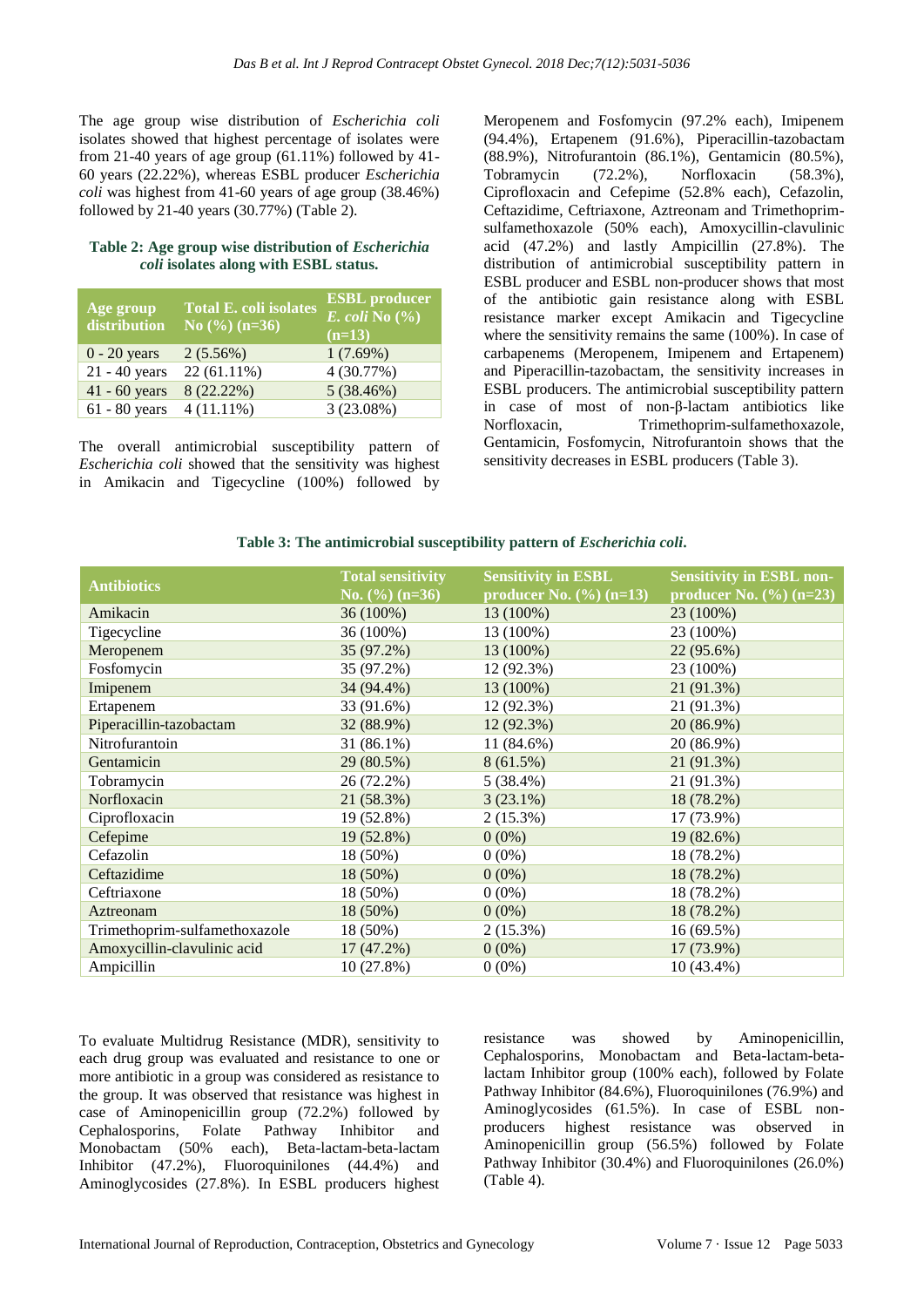The age group wise distribution of *Escherichia coli* isolates showed that highest percentage of isolates were from 21-40 years of age group  $(61.11\%)$  followed by 41-60 years (22.22%), whereas ESBL producer *Escherichia coli* was highest from 41-60 years of age group (38.46%) followed by 21-40 years (30.77%) (Table 2).

#### **Table 2: Age group wise distribution of** *Escherichia coli* **isolates along with ESBL status.**

| Age group<br>distribution | <b>Total E. coli isolates</b><br>No $(\%)(n=36)$ | <b>ESBL</b> producer<br>$E.$ coli No $\left(\frac{6}{6}\right)$<br>$(n=13)$ |
|---------------------------|--------------------------------------------------|-----------------------------------------------------------------------------|
| $0 - 20$ years            | $2(5.56\%)$                                      | 1(7.69%)                                                                    |
| $21 - 40$ years           | 22 (61.11%)                                      | 4 (30.77%)                                                                  |
| $41 - 60$ years           | 8(22.22%)                                        | 5(38.46%)                                                                   |
| $61 - 80$ years           | $4(11.11\%)$                                     | 3(23.08%)                                                                   |

The overall antimicrobial susceptibility pattern of *Escherichia coli* showed that the sensitivity was highest in Amikacin and Tigecycline (100%) followed by Meropenem and Fosfomycin (97.2% each), Imipenem (94.4%), Ertapenem (91.6%), Piperacillin-tazobactam (88.9%), Nitrofurantoin (86.1%), Gentamicin (80.5%), Tobramycin (72.2%), Norfloxacin (58.3%), Ciprofloxacin and Cefepime (52.8% each), Cefazolin, Ceftazidime, Ceftriaxone, Aztreonam and Trimethoprimsulfamethoxazole (50% each), Amoxycillin-clavulinic acid (47.2%) and lastly Ampicillin (27.8%). The distribution of antimicrobial susceptibility pattern in ESBL producer and ESBL non-producer shows that most of the antibiotic gain resistance along with ESBL resistance marker except Amikacin and Tigecycline where the sensitivity remains the same (100%). In case of carbapenems (Meropenem, Imipenem and Ertapenem) and Piperacillin-tazobactam, the sensitivity increases in ESBL producers. The antimicrobial susceptibility pattern in case of most of non-β-lactam antibiotics like Norfloxacin, Trimethoprim-sulfamethoxazole, Gentamicin, Fosfomycin, Nitrofurantoin shows that the sensitivity decreases in ESBL producers (Table 3).

# Table 3: The antimicrobial susceptibility pattern of *Escherichia coli*.

| <b>Antibiotics</b>            | <b>Total sensitivity</b><br>No. $(\frac{6}{6})$ (n=36) | <b>Sensitivity in ESBL</b><br>producer No. $(\%)(n=13)$ | <b>Sensitivity in ESBL non-</b><br>producer No. $(\%)(n=23)$ |
|-------------------------------|--------------------------------------------------------|---------------------------------------------------------|--------------------------------------------------------------|
| Amikacin                      | 36 (100%)                                              | 13 (100%)                                               | 23 (100%)                                                    |
| Tigecycline                   | 36 (100%)                                              | 13 (100%)                                               | 23 (100%)                                                    |
| Meropenem                     | 35 (97.2%)                                             | 13 (100%)                                               | 22 (95.6%)                                                   |
| Fosfomycin                    | 35 (97.2%)                                             | 12 (92.3%)                                              | 23 (100%)                                                    |
| Imipenem                      | 34 (94.4%)                                             | 13 (100%)                                               | 21 (91.3%)                                                   |
| Ertapenem                     | 33 (91.6%)                                             | 12 (92.3%)                                              | 21 (91.3%)                                                   |
| Piperacillin-tazobactam       | 32 (88.9%)                                             | 12(92.3%)                                               | 20 (86.9%)                                                   |
| Nitrofurantoin                | $31(86.1\%)$                                           | $11(84.6\%)$                                            | 20 (86.9%)                                                   |
| Gentamicin                    | 29 (80.5%)                                             | 8(61.5%)                                                | 21 (91.3%)                                                   |
| Tobramycin                    | 26 (72.2%)                                             | $5(38.4\%)$                                             | 21 (91.3%)                                                   |
| Norfloxacin                   | 21 (58.3%)                                             | $3(23.1\%)$                                             | 18 (78.2%)                                                   |
| Ciprofloxacin                 | 19 (52.8%)                                             | $2(15.3\%)$                                             | 17 (73.9%)                                                   |
| Cefepime                      | 19 (52.8%)                                             | $0(0\%)$                                                | 19 (82.6%)                                                   |
| Cefazolin                     | 18 (50%)                                               | $0(0\%)$                                                | 18 (78.2%)                                                   |
| Ceftazidime                   | $18(50\%)$                                             | $0(0\%)$                                                | 18 (78.2%)                                                   |
| Ceftriaxone                   | 18 (50%)                                               | $0(0\%)$                                                | 18 (78.2%)                                                   |
| Aztreonam                     | 18 (50%)                                               | $0(0\%)$                                                | 18 (78.2%)                                                   |
| Trimethoprim-sulfamethoxazole | 18 (50%)                                               | $2(15.3\%)$                                             | 16(69.5%)                                                    |
| Amoxycillin-clavulinic acid   | 17(47.2%)                                              | $0(0\%)$                                                | 17 (73.9%)                                                   |
| Ampicillin                    | 10 (27.8%)                                             | $0(0\%)$                                                | $10(43.4\%)$                                                 |

To evaluate Multidrug Resistance (MDR), sensitivity to each drug group was evaluated and resistance to one or more antibiotic in a group was considered as resistance to the group. It was observed that resistance was highest in case of Aminopenicillin group (72.2%) followed by Cephalosporins, Folate Pathway Inhibitor and Monobactam (50% each), Beta-lactam-beta-lactam Inhibitor (47.2%), Fluoroquinilones (44.4%) and Aminoglycosides (27.8%). In ESBL producers highest resistance was showed by Aminopenicillin, Cephalosporins, Monobactam and Beta-lactam-betalactam Inhibitor group (100% each), followed by Folate Pathway Inhibitor (84.6%), Fluoroquinilones (76.9%) and Aminoglycosides (61.5%). In case of ESBL nonproducers highest resistance was observed in Aminopenicillin group (56.5%) followed by Folate Pathway Inhibitor (30.4%) and Fluoroquinilones (26.0%) (Table 4).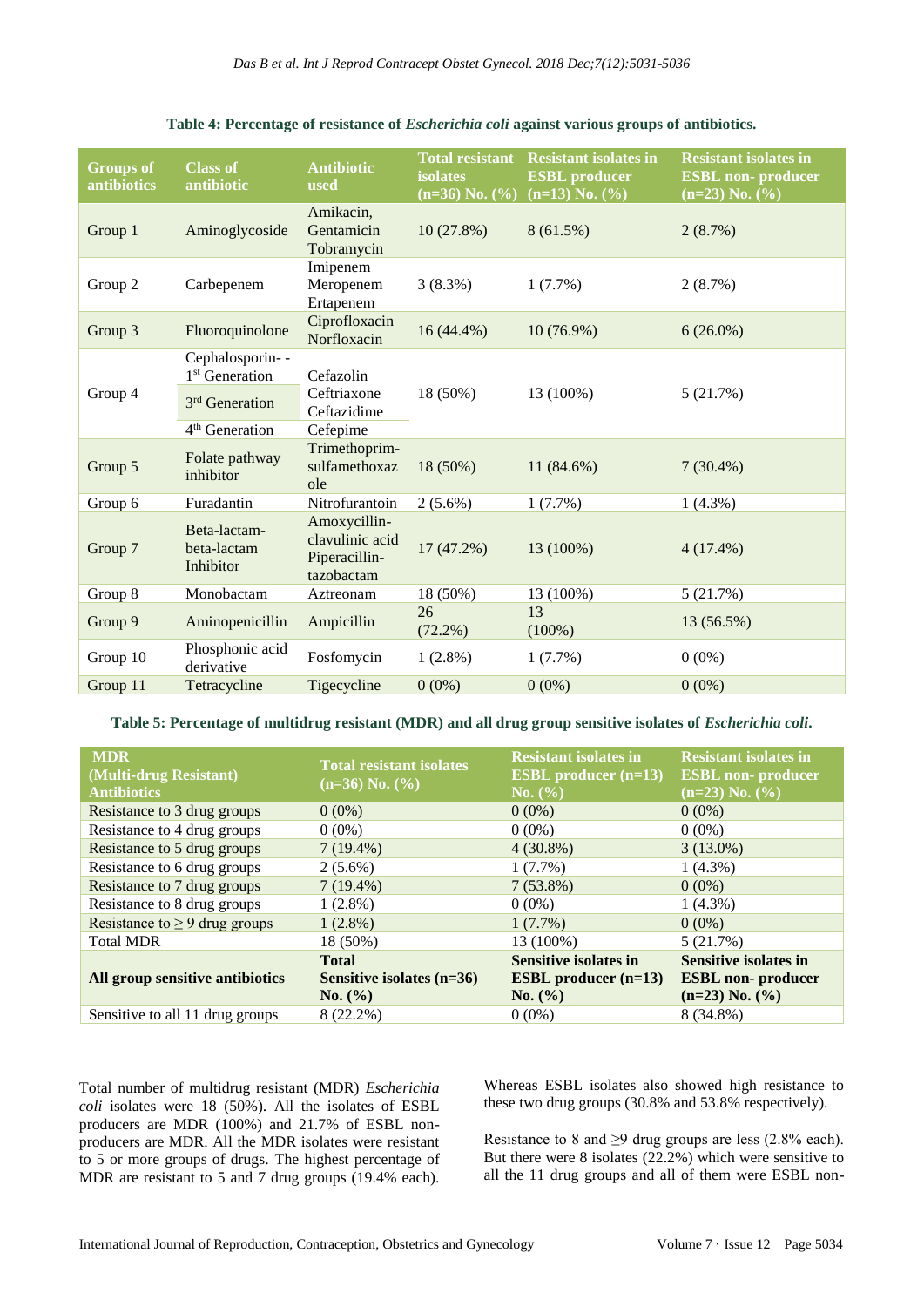| <b>Groups of</b><br>antibiotics | <b>Class of</b><br>antibiotic                                               | <b>Antibiotic</b><br>used                                      | <b>Total resistant</b><br><b>isolates</b><br>$(n=36)$ No. $(\% )$ | <b>Resistant isolates in</b><br><b>ESBL</b> producer<br>$(n=13)$ No. $(%)$ | <b>Resistant isolates in</b><br><b>ESBL</b> non-producer<br>$(n=23)$ No. $(\% )$ |
|---------------------------------|-----------------------------------------------------------------------------|----------------------------------------------------------------|-------------------------------------------------------------------|----------------------------------------------------------------------------|----------------------------------------------------------------------------------|
| Group 1                         | Aminoglycoside                                                              | Amikacin,<br>Gentamicin<br>Tobramycin                          | 10(27.8%)                                                         | 8(61.5%)                                                                   | 2(8.7%)                                                                          |
| Group 2                         | Carbepenem                                                                  | Imipenem<br>Meropenem<br>Ertapenem                             | 3(8.3%)                                                           | 1(7.7%)                                                                    | 2(8.7%)                                                                          |
| Group 3                         | Fluoroquinolone                                                             | Ciprofloxacin<br>Norfloxacin                                   | $16(44.4\%)$                                                      | $10(76.9\%)$                                                               | $6(26.0\%)$                                                                      |
| Group 4                         | Cephalosporin--<br>1 <sup>st</sup> Generation<br>3 <sup>rd</sup> Generation | Cefazolin<br>Ceftriaxone                                       | 18 (50%)                                                          | 13 (100%)                                                                  | 5(21.7%)                                                                         |
|                                 | 4 <sup>th</sup> Generation                                                  | Ceftazidime<br>Cefepime                                        |                                                                   |                                                                            |                                                                                  |
| Group 5                         | Folate pathway<br>inhibitor                                                 | Trimethoprim-<br>sulfamethoxaz<br>ole                          | 18 (50%)                                                          | 11 (84.6%)                                                                 | $7(30.4\%)$                                                                      |
| Group 6                         | Furadantin                                                                  | Nitrofurantoin                                                 | $2(5.6\%)$                                                        | 1(7.7%)                                                                    | $1(4.3\%)$                                                                       |
| Group 7                         | Beta-lactam-<br>beta-lactam<br>Inhibitor                                    | Amoxycillin-<br>clavulinic acid<br>Piperacillin-<br>tazobactam | $17(47.2\%)$                                                      | 13 (100%)                                                                  | $4(17.4\%)$                                                                      |
| Group 8                         | Monobactam                                                                  | Aztreonam                                                      | 18 (50%)                                                          | 13 (100%)                                                                  | 5(21.7%)                                                                         |
| Group 9                         | Aminopenicillin                                                             | Ampicillin                                                     | 26<br>$(72.2\%)$                                                  | 13<br>$(100\%)$                                                            | 13 (56.5%)                                                                       |
| Group 10                        | Phosphonic acid<br>derivative                                               | Fosfomycin                                                     | $1(2.8\%)$                                                        | 1(7.7%)                                                                    | $0(0\%)$                                                                         |
| Group 11                        | Tetracycline                                                                | Tigecycline                                                    | $0(0\%)$                                                          | $0(0\%)$                                                                   | $0(0\%)$                                                                         |

**Table 5: Percentage of multidrug resistant (MDR) and all drug group sensitive isolates of** *Escherichia coli***.**

| <b>MDR</b><br>(Multi-drug Resistant)<br><b>Antibiotics</b> | <b>Total resistant isolates</b><br>$(n=36)$ No. $(\% )$ | <b>Resistant isolates in</b><br>ESBL producer $(n=13)$<br>No. (%) | <b>Resistant isolates in</b><br><b>ESBL</b> non-producer<br>$(n=23)$ No. $(\% )$ |
|------------------------------------------------------------|---------------------------------------------------------|-------------------------------------------------------------------|----------------------------------------------------------------------------------|
| Resistance to 3 drug groups                                | $0(0\%)$                                                | $0(0\%)$                                                          | $0(0\%)$                                                                         |
| Resistance to 4 drug groups                                | $0(0\%)$                                                | $0(0\%)$                                                          | $0(0\%)$                                                                         |
| Resistance to 5 drug groups                                | $7(19.4\%)$                                             | $4(30.8\%)$                                                       | $3(13.0\%)$                                                                      |
| Resistance to 6 drug groups                                | $2(5.6\%)$                                              | $1(7.7\%)$                                                        | $1(4.3\%)$                                                                       |
| Resistance to 7 drug groups                                | $7(19.4\%)$                                             | $7(53.8\%)$                                                       | $0(0\%)$                                                                         |
| Resistance to 8 drug groups                                | $1(2.8\%)$                                              | $0(0\%)$                                                          | $1(4.3\%)$                                                                       |
| Resistance to $\geq$ 9 drug groups                         | $1(2.8\%)$                                              | $1(7.7\%)$                                                        | $0(0\%)$                                                                         |
| <b>Total MDR</b>                                           | 18 (50%)                                                | 13 (100%)                                                         | 5(21.7%)                                                                         |
| All group sensitive antibiotics                            | <b>Total</b><br>Sensitive isolates $(n=36)$<br>No. (%)  | <b>Sensitive isolates in</b><br>ESBL producer $(n=13)$<br>No. (%) | <b>Sensitive isolates in</b><br><b>ESBL</b> non-producer<br>$(n=23)$ No. $(\% )$ |
| Sensitive to all 11 drug groups                            | 8 (22.2%)                                               | $0(0\%)$                                                          | 8 (34.8%)                                                                        |

Total number of multidrug resistant (MDR) *Escherichia coli* isolates were 18 (50%). All the isolates of ESBL producers are MDR (100%) and 21.7% of ESBL nonproducers are MDR. All the MDR isolates were resistant to 5 or more groups of drugs. The highest percentage of MDR are resistant to 5 and 7 drug groups (19.4% each). Whereas ESBL isolates also showed high resistance to these two drug groups (30.8% and 53.8% respectively).

Resistance to 8 and  $\geq$ 9 drug groups are less (2.8% each). But there were 8 isolates (22.2%) which were sensitive to all the 11 drug groups and all of them were ESBL non-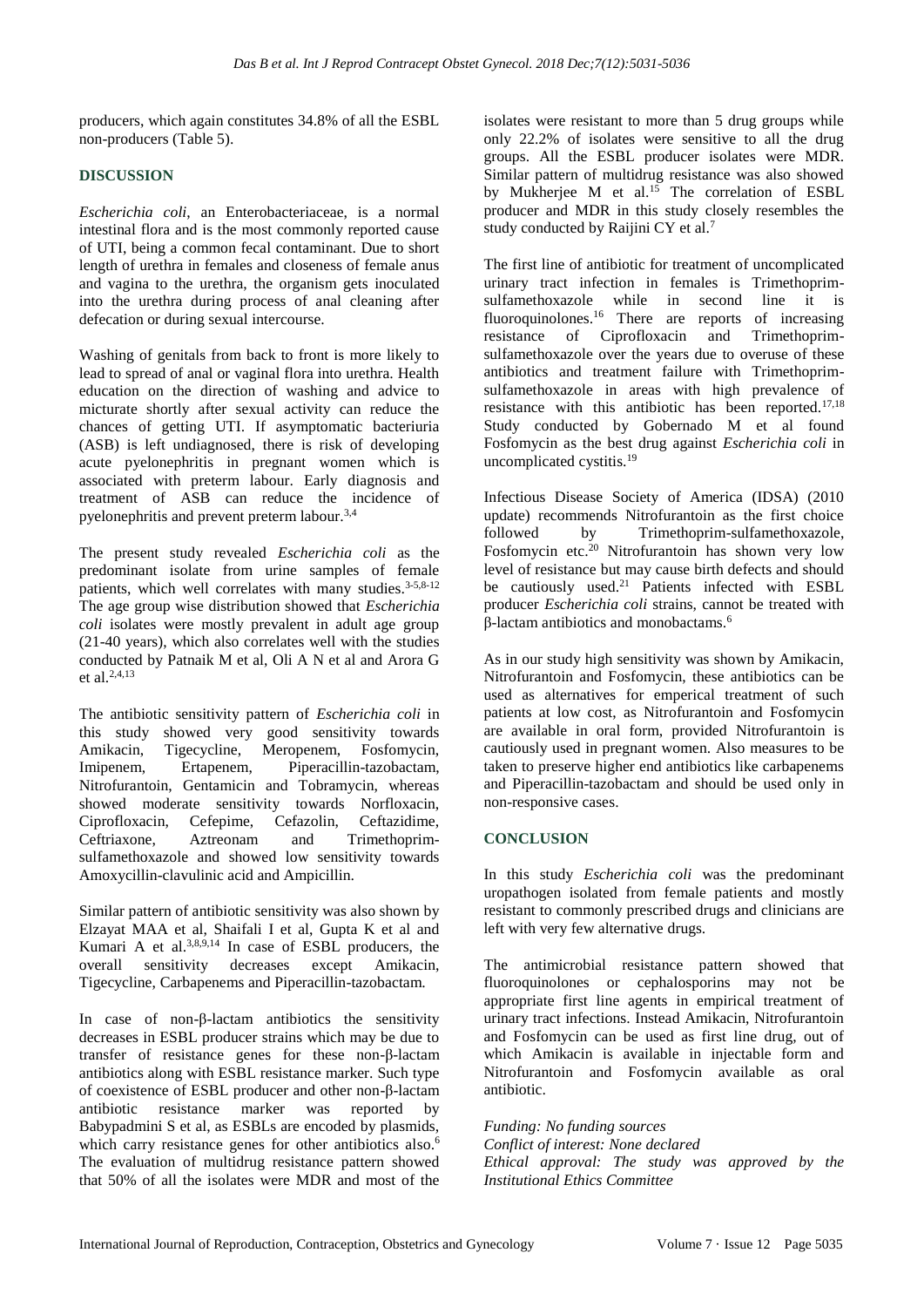producers, which again constitutes 34.8% of all the ESBL non-producers (Table 5).

# **DISCUSSION**

*Escherichia coli*, an Enterobacteriaceae, is a normal intestinal flora and is the most commonly reported cause of UTI, being a common fecal contaminant. Due to short length of urethra in females and closeness of female anus and vagina to the urethra, the organism gets inoculated into the urethra during process of anal cleaning after defecation or during sexual intercourse.

Washing of genitals from back to front is more likely to lead to spread of anal or vaginal flora into urethra. Health education on the direction of washing and advice to micturate shortly after sexual activity can reduce the chances of getting UTI. If asymptomatic bacteriuria (ASB) is left undiagnosed, there is risk of developing acute pyelonephritis in pregnant women which is associated with preterm labour. Early diagnosis and treatment of ASB can reduce the incidence of pyelonephritis and prevent preterm labour.3,4

The present study revealed *Escherichia coli* as the predominant isolate from urine samples of female patients, which well correlates with many studies.<sup>3-5,8-12</sup> The age group wise distribution showed that *Escherichia coli* isolates were mostly prevalent in adult age group (21-40 years), which also correlates well with the studies conducted by Patnaik M et al, Oli A N et al and Arora G et al.2,4,13

The antibiotic sensitivity pattern of *Escherichia coli* in this study showed very good sensitivity towards Amikacin, Tigecycline, Meropenem, Fosfomycin, Imipenem, Ertapenem, Piperacillin-tazobactam, Nitrofurantoin, Gentamicin and Tobramycin, whereas showed moderate sensitivity towards Norfloxacin, Ciprofloxacin, Cefepime, Cefazolin, Ceftazidime, Ceftriaxone, Aztreonam and Trimethoprimsulfamethoxazole and showed low sensitivity towards Amoxycillin-clavulinic acid and Ampicillin.

Similar pattern of antibiotic sensitivity was also shown by Elzayat MAA et al, Shaifali I et al, Gupta K et al and Kumari A et al. $3,8,9,14$  In case of ESBL producers, the overall sensitivity decreases except Amikacin, Tigecycline, Carbapenems and Piperacillin-tazobactam.

In case of non-β-lactam antibiotics the sensitivity decreases in ESBL producer strains which may be due to transfer of resistance genes for these non-β-lactam antibiotics along with ESBL resistance marker. Such type of coexistence of ESBL producer and other non-β-lactam antibiotic resistance marker was reported by Babypadmini S et al, as ESBLs are encoded by plasmids, which carry resistance genes for other antibiotics also.<sup>6</sup> The evaluation of multidrug resistance pattern showed that 50% of all the isolates were MDR and most of the isolates were resistant to more than 5 drug groups while only 22.2% of isolates were sensitive to all the drug groups. All the ESBL producer isolates were MDR. Similar pattern of multidrug resistance was also showed by Mukherjee M et al.<sup>15</sup> The correlation of ESBL producer and MDR in this study closely resembles the study conducted by Raijini CY et al.<sup>7</sup>

The first line of antibiotic for treatment of uncomplicated urinary tract infection in females is Trimethoprimsulfamethoxazole while in second line it is fluoroquinolones.<sup>16</sup> There are reports of increasing resistance of Ciprofloxacin and Trimethoprimsulfamethoxazole over the years due to overuse of these antibiotics and treatment failure with Trimethoprimsulfamethoxazole in areas with high prevalence of resistance with this antibiotic has been reported.17,18 Study conducted by Gobernado M et al found Fosfomycin as the best drug against *Escherichia coli* in uncomplicated cystitis.<sup>19</sup>

Infectious Disease Society of America (IDSA) (2010 update) recommends Nitrofurantoin as the first choice followed by Trimethoprim-sulfamethoxazole, Fosfomycin etc.<sup>20</sup> Nitrofurantoin has shown very low level of resistance but may cause birth defects and should be cautiously used.<sup>21</sup> Patients infected with ESBL producer *Escherichia coli* strains, cannot be treated with β-lactam antibiotics and monobactams.<sup>6</sup>

As in our study high sensitivity was shown by Amikacin, Nitrofurantoin and Fosfomycin, these antibiotics can be used as alternatives for emperical treatment of such patients at low cost, as Nitrofurantoin and Fosfomycin are available in oral form, provided Nitrofurantoin is cautiously used in pregnant women. Also measures to be taken to preserve higher end antibiotics like carbapenems and Piperacillin-tazobactam and should be used only in non-responsive cases.

# **CONCLUSION**

In this study *Escherichia coli* was the predominant uropathogen isolated from female patients and mostly resistant to commonly prescribed drugs and clinicians are left with very few alternative drugs.

The antimicrobial resistance pattern showed that fluoroquinolones or cephalosporins may not be appropriate first line agents in empirical treatment of urinary tract infections. Instead Amikacin, Nitrofurantoin and Fosfomycin can be used as first line drug, out of which Amikacin is available in injectable form and Nitrofurantoin and Fosfomycin available as oral antibiotic.

*Funding: No funding sources Conflict of interest: None declared Ethical approval: The study was approved by the Institutional Ethics Committee*